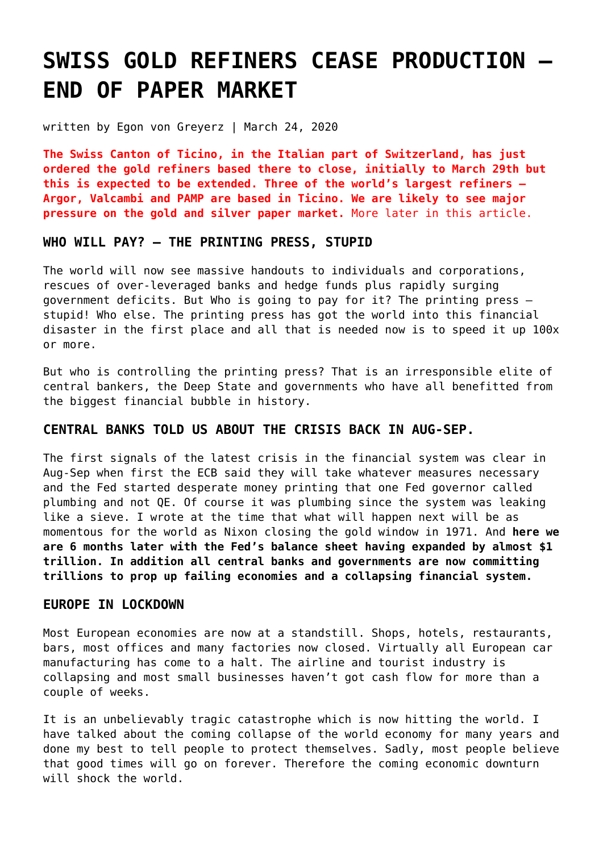# **[SWISS GOLD REFINERS CEASE PRODUCTION –](https://goldswitzerland.com/swiss-gold-refiners-cease-production-end-of-paper-market/) [END OF PAPER MARKET](https://goldswitzerland.com/swiss-gold-refiners-cease-production-end-of-paper-market/)**

written by Egon von Greyerz | March 24, 2020

**The Swiss Canton of Ticino, in the Italian part of Switzerland, has just ordered the gold refiners based there to close, initially to March 29th but this is expected to be extended. Three of the world's largest refiners – Argor, Valcambi and PAMP are based in Ticino. We are likely to see major pressure on the gold and silver paper market.** More later in this article.

#### **WHO WILL PAY? – THE PRINTING PRESS, STUPID**

The world will now see massive handouts to individuals and corporations, rescues of over-leveraged banks and hedge funds plus rapidly surging government deficits. But Who is going to pay for it? The printing press – stupid! Who else. The printing press has got the world into this financial disaster in the first place and all that is needed now is to speed it up 100x or more.

But who is controlling the printing press? That is an irresponsible elite of central bankers, the Deep State and governments who have all benefitted from the biggest financial bubble in history.

## **CENTRAL BANKS TOLD US ABOUT THE CRISIS BACK IN AUG-SEP.**

The first signals of the latest crisis in the financial system was clear in Aug-Sep when first the ECB said they will take whatever measures necessary and the Fed started desperate money printing that one Fed governor called plumbing and not QE. Of course it was plumbing since the system was leaking like a sieve. I wrote at the time that what will happen next will be as momentous for the world as Nixon closing the gold window in 1971. And **here we are 6 months later with the Fed's balance sheet having expanded by almost \$1 trillion. In addition all central banks and governments are now committing trillions to prop up failing economies and a collapsing financial system.**

### **EUROPE IN LOCKDOWN**

Most European economies are now at a standstill. Shops, hotels, restaurants, bars, most offices and many factories now closed. Virtually all European car manufacturing has come to a halt. The airline and tourist industry is collapsing and most small businesses haven't got cash flow for more than a couple of weeks.

It is an unbelievably tragic catastrophe which is now hitting the world. I have talked about the coming collapse of the world economy for many years and done my best to tell people to protect themselves. Sadly, most people believe that good times will go on forever. Therefore the coming economic downturn will shock the world.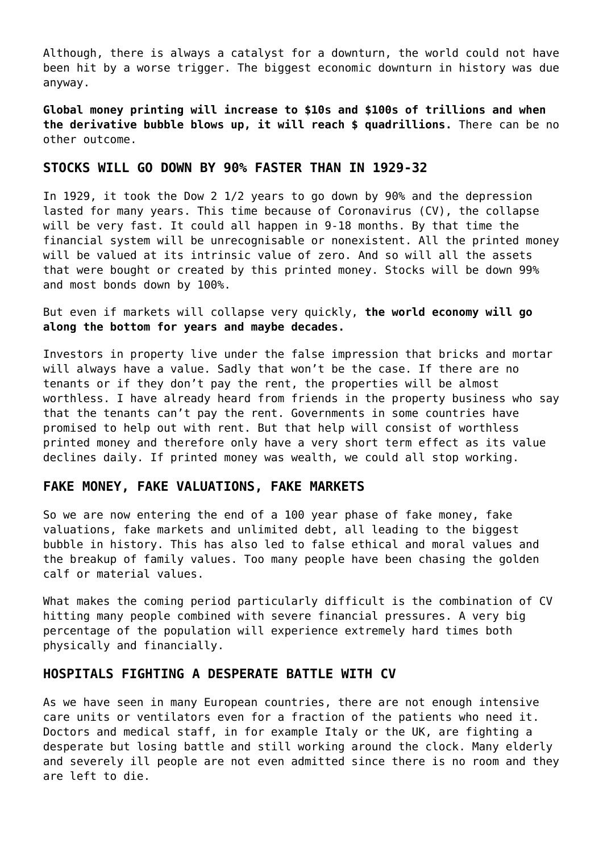Although, there is always a catalyst for a downturn, the world could not have been hit by a worse trigger. The biggest economic downturn in history was due anyway.

**Global money printing will increase to \$10s and \$100s of trillions and when the derivative bubble blows up, it will reach \$ quadrillions.** There can be no other outcome.

## **STOCKS WILL GO DOWN BY 90% FASTER THAN IN 1929-32**

In 1929, it took the Dow 2 1/2 years to go down by 90% and the depression lasted for many years. This time because of Coronavirus (CV), the collapse will be very fast. It could all happen in 9-18 months. By that time the financial system will be unrecognisable or nonexistent. All the printed money will be valued at its intrinsic value of zero. And so will all the assets that were bought or created by this printed money. Stocks will be down 99% and most bonds down by 100%.

But even if markets will collapse very quickly, **the world economy will go along the bottom for years and maybe decades.**

Investors in property live under the false impression that bricks and mortar will always have a value. Sadly that won't be the case. If there are no tenants or if they don't pay the rent, the properties will be almost worthless. I have already heard from friends in the property business who say that the tenants can't pay the rent. Governments in some countries have promised to help out with rent. But that help will consist of worthless printed money and therefore only have a very short term effect as its value declines daily. If printed money was wealth, we could all stop working.

### **FAKE MONEY, FAKE VALUATIONS, FAKE MARKETS**

So we are now entering the end of a 100 year phase of fake money, fake valuations, fake markets and unlimited debt, all leading to the biggest bubble in history. This has also led to false ethical and moral values and the breakup of family values. Too many people have been chasing the golden calf or material values.

What makes the coming period particularly difficult is the combination of CV hitting many people combined with severe financial pressures. A very big percentage of the population will experience extremely hard times both physically and financially.

#### **HOSPITALS FIGHTING A DESPERATE BATTLE WITH CV**

As we have seen in many European countries, there are not enough intensive care units or ventilators even for a fraction of the patients who need it. Doctors and medical staff, in for example Italy or the UK, are fighting a desperate but losing battle and still working around the clock. Many elderly and severely ill people are not even admitted since there is no room and they are left to die.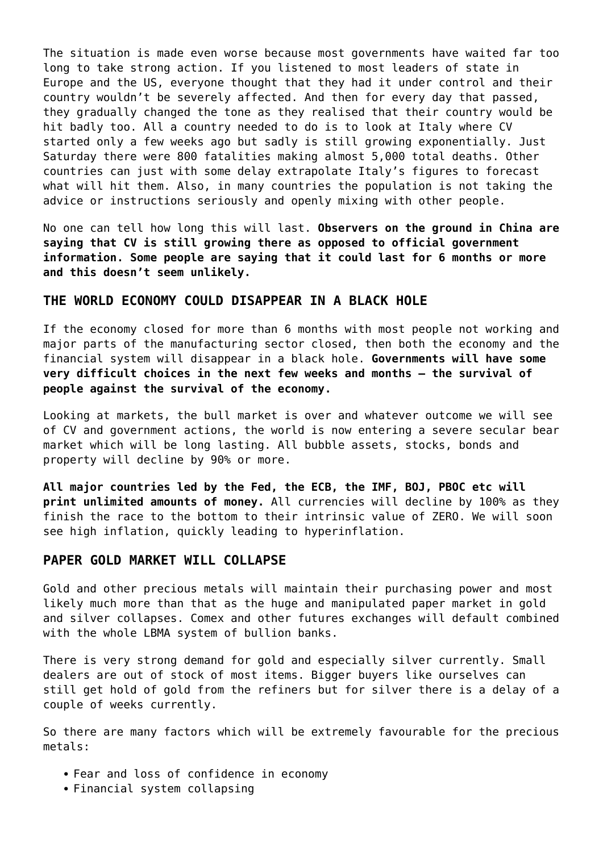The situation is made even worse because most governments have waited far too long to take strong action. If you listened to most leaders of state in Europe and the US, everyone thought that they had it under control and their country wouldn't be severely affected. And then for every day that passed, they gradually changed the tone as they realised that their country would be hit badly too. All a country needed to do is to look at Italy where CV started only a few weeks ago but sadly is still growing exponentially. Just Saturday there were 800 fatalities making almost 5,000 total deaths. Other countries can just with some delay extrapolate Italy's figures to forecast what will hit them. Also, in many countries the population is not taking the advice or instructions seriously and openly mixing with other people.

No one can tell how long this will last. **Observers on the ground in China are saying that CV is still growing there as opposed to official government information. Some people are saying that it could last for 6 months or more and this doesn't seem unlikely.**

#### **THE WORLD ECONOMY COULD DISAPPEAR IN A BLACK HOLE**

If the economy closed for more than 6 months with most people not working and major parts of the manufacturing sector closed, then both the economy and the financial system will disappear in a black hole. **Governments will have some very difficult choices in the next few weeks and months – the survival of people against the survival of the economy.**

Looking at markets, the bull market is over and whatever outcome we will see of CV and government actions, the world is now entering a severe secular bear market which will be long lasting. All bubble assets, stocks, bonds and property will decline by 90% or more.

**All major countries led by the Fed, the ECB, the IMF, BOJ, PBOC etc will print unlimited amounts of money.** All currencies will decline by 100% as they finish the race to the bottom to their intrinsic value of ZERO. We will soon see high inflation, quickly leading to hyperinflation.

### **PAPER GOLD MARKET WILL COLLAPSE**

Gold and other precious metals will maintain their purchasing power and most likely much more than that as the huge and manipulated paper market in gold and silver collapses. Comex and other futures exchanges will default combined with the whole LBMA system of bullion banks.

There is very strong demand for gold and especially silver currently. Small dealers are out of stock of most items. Bigger buyers like ourselves can still get hold of gold from the refiners but for silver there is a delay of a couple of weeks currently.

So there are many factors which will be extremely favourable for the precious metals:

- Fear and loss of confidence in economy
- Financial system collapsing